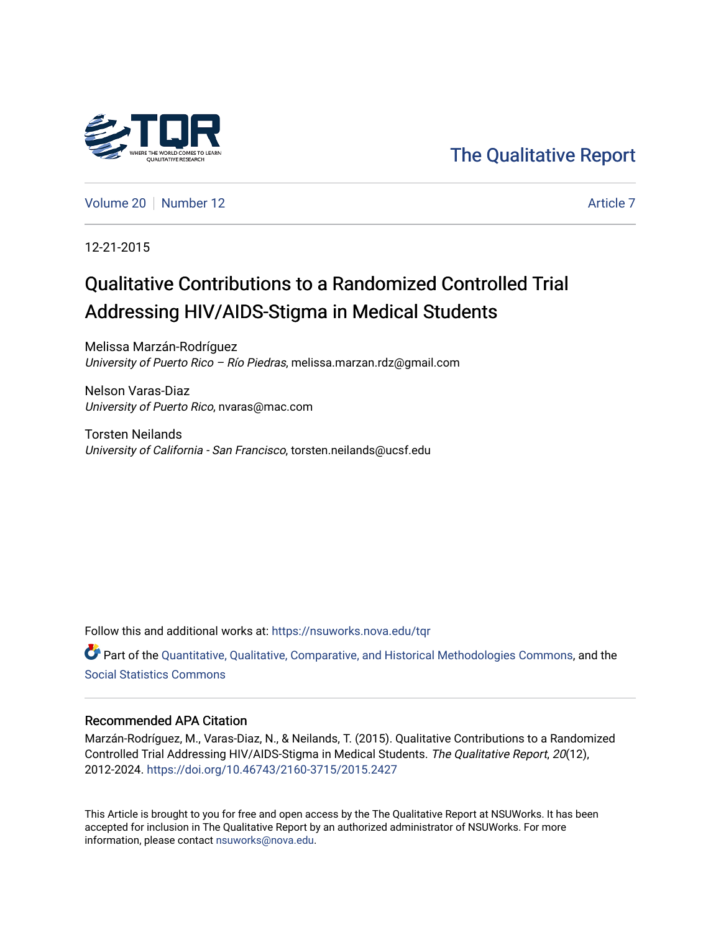

[The Qualitative Report](https://nsuworks.nova.edu/tqr) 

[Volume 20](https://nsuworks.nova.edu/tqr/vol20) [Number 12](https://nsuworks.nova.edu/tqr/vol20/iss12) [Article 7](https://nsuworks.nova.edu/tqr/vol20/iss12/7) Article 7

12-21-2015

# Qualitative Contributions to a Randomized Controlled Trial Addressing HIV/AIDS-Stigma in Medical Students

Melissa Marzán-Rodríguez University of Puerto Rico - Río Piedras, melissa.marzan.rdz@gmail.com

Nelson Varas-Diaz University of Puerto Rico, nvaras@mac.com

Torsten Neilands University of California - San Francisco, torsten.neilands@ucsf.edu

Follow this and additional works at: [https://nsuworks.nova.edu/tqr](https://nsuworks.nova.edu/tqr?utm_source=nsuworks.nova.edu%2Ftqr%2Fvol20%2Fiss12%2F7&utm_medium=PDF&utm_campaign=PDFCoverPages) 

Part of the [Quantitative, Qualitative, Comparative, and Historical Methodologies Commons,](http://network.bepress.com/hgg/discipline/423?utm_source=nsuworks.nova.edu%2Ftqr%2Fvol20%2Fiss12%2F7&utm_medium=PDF&utm_campaign=PDFCoverPages) and the [Social Statistics Commons](http://network.bepress.com/hgg/discipline/1275?utm_source=nsuworks.nova.edu%2Ftqr%2Fvol20%2Fiss12%2F7&utm_medium=PDF&utm_campaign=PDFCoverPages) 

## Recommended APA Citation

Marzán-Rodríguez, M., Varas-Diaz, N., & Neilands, T. (2015). Qualitative Contributions to a Randomized Controlled Trial Addressing HIV/AIDS-Stigma in Medical Students. The Qualitative Report, 20(12), 2012-2024. <https://doi.org/10.46743/2160-3715/2015.2427>

This Article is brought to you for free and open access by the The Qualitative Report at NSUWorks. It has been accepted for inclusion in The Qualitative Report by an authorized administrator of NSUWorks. For more information, please contact [nsuworks@nova.edu.](mailto:nsuworks@nova.edu)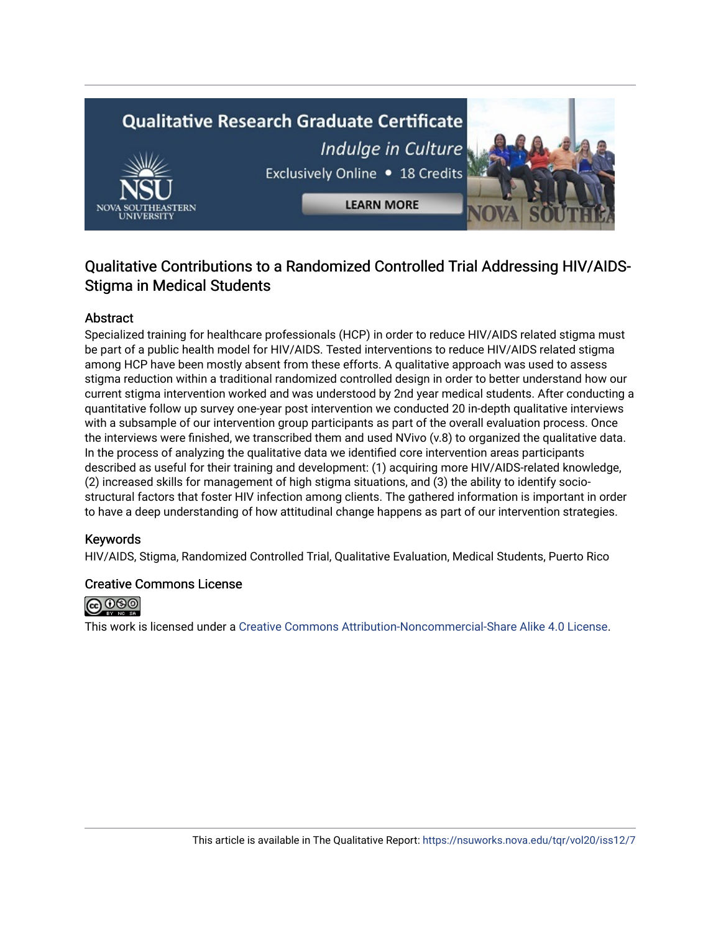# **Qualitative Research Graduate Certificate** Indulge in Culture Exclusively Online . 18 Credits **LEARN MORE**

# Qualitative Contributions to a Randomized Controlled Trial Addressing HIV/AIDS-Stigma in Medical Students

# Abstract

Specialized training for healthcare professionals (HCP) in order to reduce HIV/AIDS related stigma must be part of a public health model for HIV/AIDS. Tested interventions to reduce HIV/AIDS related stigma among HCP have been mostly absent from these efforts. A qualitative approach was used to assess stigma reduction within a traditional randomized controlled design in order to better understand how our current stigma intervention worked and was understood by 2nd year medical students. After conducting a quantitative follow up survey one-year post intervention we conducted 20 in-depth qualitative interviews with a subsample of our intervention group participants as part of the overall evaluation process. Once the interviews were finished, we transcribed them and used NVivo (v.8) to organized the qualitative data. In the process of analyzing the qualitative data we identified core intervention areas participants described as useful for their training and development: (1) acquiring more HIV/AIDS-related knowledge, (2) increased skills for management of high stigma situations, and (3) the ability to identify sociostructural factors that foster HIV infection among clients. The gathered information is important in order to have a deep understanding of how attitudinal change happens as part of our intervention strategies.

# Keywords

HIV/AIDS, Stigma, Randomized Controlled Trial, Qualitative Evaluation, Medical Students, Puerto Rico

# Creative Commons License



This work is licensed under a [Creative Commons Attribution-Noncommercial-Share Alike 4.0 License](https://creativecommons.org/licenses/by-nc-sa/4.0/).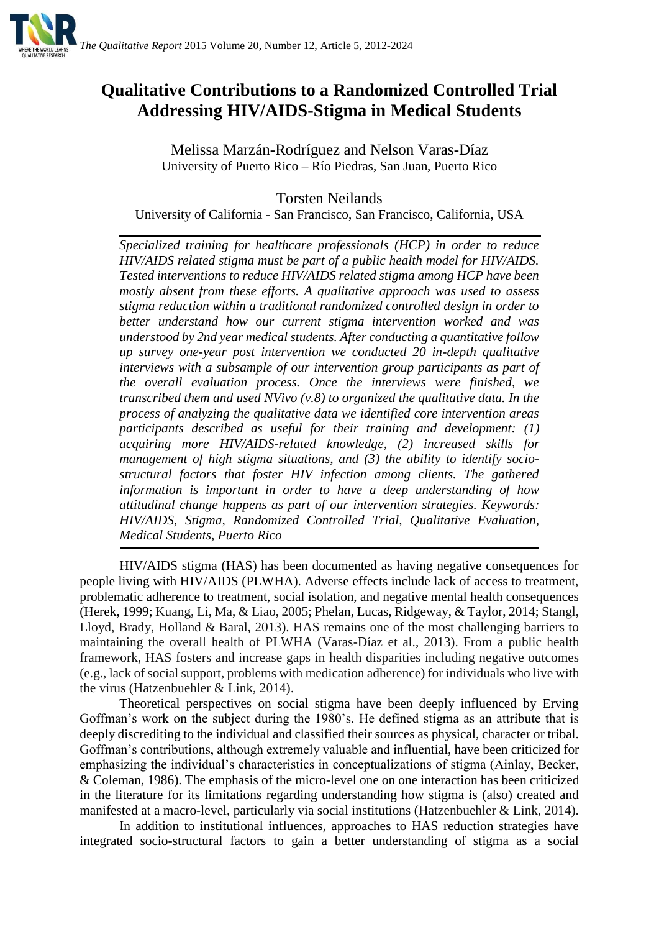

# **Qualitative Contributions to a Randomized Controlled Trial Addressing HIV/AIDS-Stigma in Medical Students**

Melissa Marzán-Rodríguez and Nelson Varas-Díaz University of Puerto Rico – Río Piedras, San Juan, Puerto Rico

Torsten Neilands

University of California - San Francisco, San Francisco, California, USA

*Specialized training for healthcare professionals (HCP) in order to reduce HIV/AIDS related stigma must be part of a public health model for HIV/AIDS. Tested interventions to reduce HIV/AIDS related stigma among HCP have been mostly absent from these efforts. A qualitative approach was used to assess stigma reduction within a traditional randomized controlled design in order to better understand how our current stigma intervention worked and was understood by 2nd year medical students. After conducting a quantitative follow up survey one-year post intervention we conducted 20 in-depth qualitative interviews with a subsample of our intervention group participants as part of the overall evaluation process. Once the interviews were finished, we transcribed them and used NVivo (v.8) to organized the qualitative data. In the process of analyzing the qualitative data we identified core intervention areas participants described as useful for their training and development: (1) acquiring more HIV/AIDS-related knowledge, (2) increased skills for management of high stigma situations, and (3) the ability to identify sociostructural factors that foster HIV infection among clients. The gathered information is important in order to have a deep understanding of how attitudinal change happens as part of our intervention strategies. Keywords: HIV/AIDS, Stigma, Randomized Controlled Trial, Qualitative Evaluation, Medical Students, Puerto Rico*

HIV/AIDS stigma (HAS) has been documented as having negative consequences for people living with HIV/AIDS (PLWHA). Adverse effects include lack of access to treatment, problematic adherence to treatment, social isolation, and negative mental health consequences (Herek, 1999; Kuang, Li, Ma, & Liao, 2005; Phelan, Lucas, Ridgeway, & Taylor, 2014; Stangl, Lloyd, Brady, Holland & Baral, 2013). HAS remains one of the most challenging barriers to maintaining the overall health of PLWHA (Varas-Díaz et al., 2013). From a public health framework, HAS fosters and increase gaps in health disparities including negative outcomes (e.g., lack of social support, problems with medication adherence) for individuals who live with the virus (Hatzenbuehler & Link, 2014).

Theoretical perspectives on social stigma have been deeply influenced by Erving Goffman's work on the subject during the 1980's. He defined stigma as an attribute that is deeply discrediting to the individual and classified their sources as physical, character or tribal. Goffman's contributions, although extremely valuable and influential, have been criticized for emphasizing the individual's characteristics in conceptualizations of stigma (Ainlay, Becker, & Coleman, 1986). The emphasis of the micro-level one on one interaction has been criticized in the literature for its limitations regarding understanding how stigma is (also) created and manifested at a macro-level, particularly via social institutions (Hatzenbuehler & Link, 2014).

In addition to institutional influences, approaches to HAS reduction strategies have integrated socio-structural factors to gain a better understanding of stigma as a social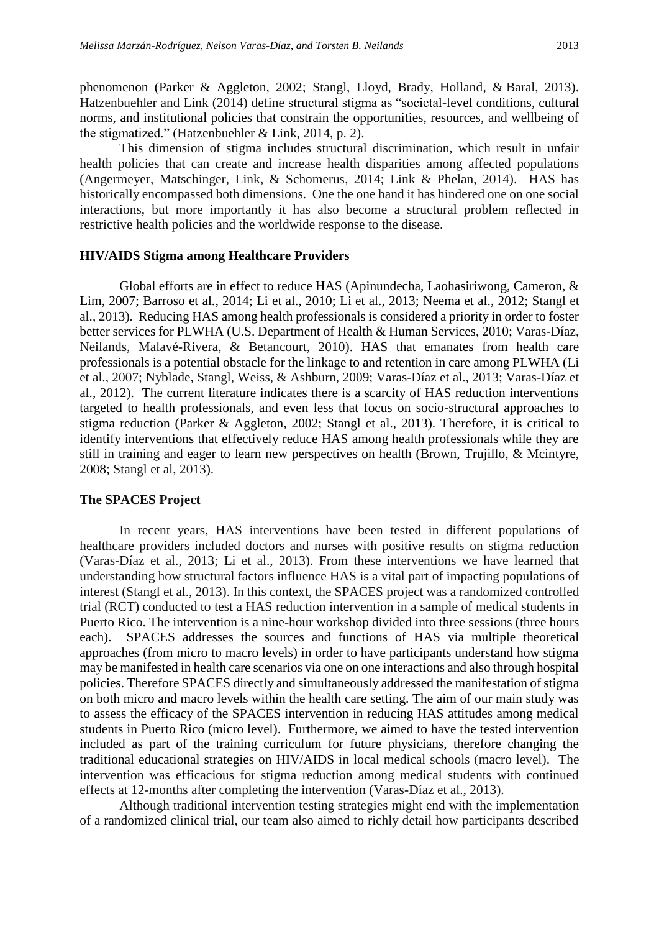phenomenon (Parker & Aggleton, 2002; Stangl, Lloyd, Brady, Holland, & Baral, 2013). Hatzenbuehler and Link (2014) define structural stigma as "societal-level conditions, cultural norms, and institutional policies that constrain the opportunities, resources, and wellbeing of the stigmatized." (Hatzenbuehler & Link, 2014, p. 2).

This dimension of stigma includes structural discrimination, which result in unfair health policies that can create and increase health disparities among affected populations (Angermeyer, Matschinger, Link, & Schomerus, 2014; Link & Phelan, 2014). HAS has historically encompassed both dimensions. One the one hand it has hindered one on one social interactions, but more importantly it has also become a structural problem reflected in restrictive health policies and the worldwide response to the disease.

## **HIV/AIDS Stigma among Healthcare Providers**

Global efforts are in effect to reduce HAS (Apinundecha, Laohasiriwong, Cameron, & Lim, 2007; Barroso et al., 2014; Li et al., 2010; Li et al., 2013; Neema et al., 2012; Stangl et al., 2013). Reducing HAS among health professionals is considered a priority in order to foster better services for PLWHA (U.S. Department of Health & Human Services, 2010; Varas-Díaz, Neilands, Malavé-Rivera, & Betancourt, 2010). HAS that emanates from health care professionals is a potential obstacle for the linkage to and retention in care among PLWHA (Li et al., 2007; Nyblade, Stangl, Weiss, & Ashburn, 2009; Varas-Díaz et al., 2013; Varas-Díaz et al., 2012). The current literature indicates there is a scarcity of HAS reduction interventions targeted to health professionals, and even less that focus on socio-structural approaches to stigma reduction (Parker & Aggleton, 2002; Stangl et al., 2013). Therefore, it is critical to identify interventions that effectively reduce HAS among health professionals while they are still in training and eager to learn new perspectives on health (Brown, Trujillo, & Mcintyre, 2008; Stangl et al, 2013).

#### **The SPACES Project**

In recent years, HAS interventions have been tested in different populations of healthcare providers included doctors and nurses with positive results on stigma reduction (Varas-Díaz et al., 2013; Li et al., 2013). From these interventions we have learned that understanding how structural factors influence HAS is a vital part of impacting populations of interest (Stangl et al., 2013). In this context, the SPACES project was a randomized controlled trial (RCT) conducted to test a HAS reduction intervention in a sample of medical students in Puerto Rico. The intervention is a nine-hour workshop divided into three sessions (three hours each). SPACES addresses the sources and functions of HAS via multiple theoretical approaches (from micro to macro levels) in order to have participants understand how stigma may be manifested in health care scenarios via one on one interactions and also through hospital policies. Therefore SPACES directly and simultaneously addressed the manifestation of stigma on both micro and macro levels within the health care setting. The aim of our main study was to assess the efficacy of the SPACES intervention in reducing HAS attitudes among medical students in Puerto Rico (micro level). Furthermore, we aimed to have the tested intervention included as part of the training curriculum for future physicians, therefore changing the traditional educational strategies on HIV/AIDS in local medical schools (macro level). The intervention was efficacious for stigma reduction among medical students with continued effects at 12-months after completing the intervention (Varas-Díaz et al., 2013).

Although traditional intervention testing strategies might end with the implementation of a randomized clinical trial, our team also aimed to richly detail how participants described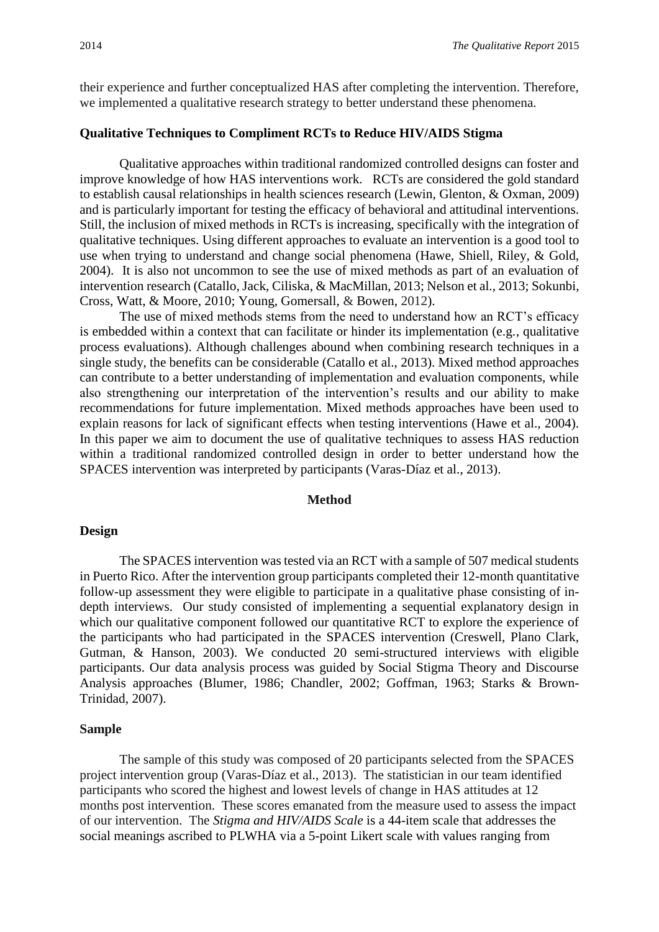their experience and further conceptualized HAS after completing the intervention. Therefore, we implemented a qualitative research strategy to better understand these phenomena.

## **Qualitative Techniques to Compliment RCTs to Reduce HIV/AIDS Stigma**

Qualitative approaches within traditional randomized controlled designs can foster and improve knowledge of how HAS interventions work. RCTs are considered the gold standard to establish causal relationships in health sciences research (Lewin, Glenton, & Oxman, 2009) and is particularly important for testing the efficacy of behavioral and attitudinal interventions. Still, the inclusion of mixed methods in RCTs is increasing, specifically with the integration of qualitative techniques. Using different approaches to evaluate an intervention is a good tool to use when trying to understand and change social phenomena (Hawe, Shiell, Riley, & Gold, 2004). It is also not uncommon to see the use of mixed methods as part of an evaluation of intervention research (Catallo, Jack, Ciliska, & MacMillan, 2013; Nelson et al., 2013; Sokunbi, Cross, Watt, & Moore, 2010; Young, Gomersall, & Bowen, 2012).

The use of mixed methods stems from the need to understand how an RCT's efficacy is embedded within a context that can facilitate or hinder its implementation (e.g., qualitative process evaluations). Although challenges abound when combining research techniques in a single study, the benefits can be considerable (Catallo et al., 2013). Mixed method approaches can contribute to a better understanding of implementation and evaluation components, while also strengthening our interpretation of the intervention's results and our ability to make recommendations for future implementation. Mixed methods approaches have been used to explain reasons for lack of significant effects when testing interventions (Hawe et al., 2004). In this paper we aim to document the use of qualitative techniques to assess HAS reduction within a traditional randomized controlled design in order to better understand how the SPACES intervention was interpreted by participants (Varas-Díaz et al., 2013).

#### **Method**

#### **Design**

The SPACES intervention was tested via an RCT with a sample of 507 medical students in Puerto Rico. After the intervention group participants completed their 12-month quantitative follow-up assessment they were eligible to participate in a qualitative phase consisting of indepth interviews. Our study consisted of implementing a sequential explanatory design in which our qualitative component followed our quantitative RCT to explore the experience of the participants who had participated in the SPACES intervention (Creswell, Plano Clark, Gutman, & Hanson, 2003). We conducted 20 semi-structured interviews with eligible participants. Our data analysis process was guided by Social Stigma Theory and Discourse Analysis approaches (Blumer, 1986; Chandler, 2002; Goffman, 1963; Starks & Brown-Trinidad, 2007).

#### **Sample**

The sample of this study was composed of 20 participants selected from the SPACES project intervention group (Varas-Díaz et al., 2013). The statistician in our team identified participants who scored the highest and lowest levels of change in HAS attitudes at 12 months post intervention. These scores emanated from the measure used to assess the impact of our intervention. The *Stigma and HIV/AIDS Scale* is a 44-item scale that addresses the social meanings ascribed to PLWHA via a 5-point Likert scale with values ranging from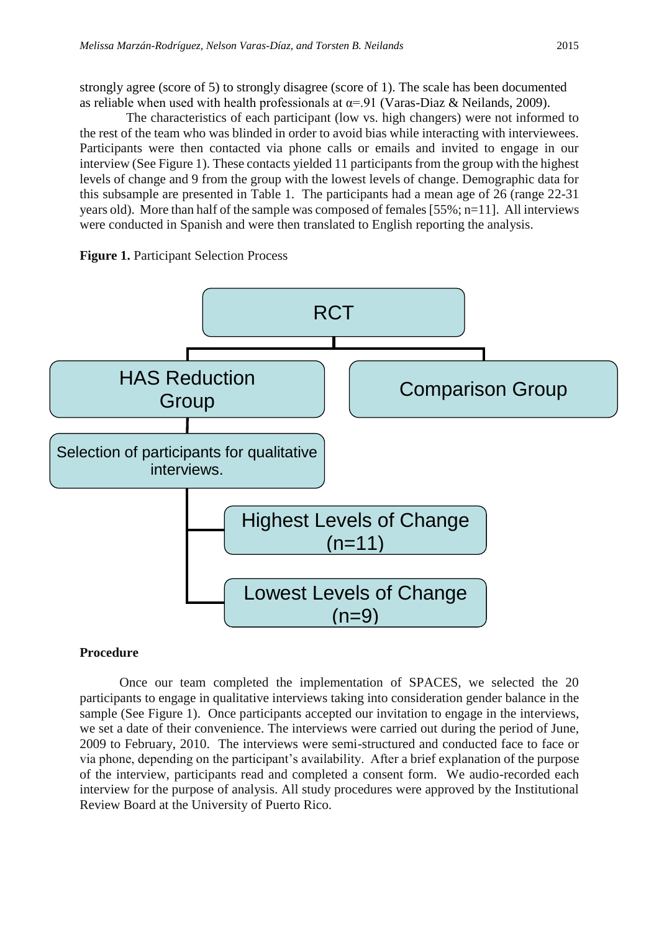strongly agree (score of 5) to strongly disagree (score of 1). The scale has been documented as reliable when used with health professionals at  $\alpha = 91$  (Varas-Diaz & Neilands, 2009).

 The characteristics of each participant (low vs. high changers) were not informed to the rest of the team who was blinded in order to avoid bias while interacting with interviewees. Participants were then contacted via phone calls or emails and invited to engage in our interview (See Figure 1). These contacts yielded 11 participants from the group with the highest levels of change and 9 from the group with the lowest levels of change. Demographic data for this subsample are presented in Table 1. The participants had a mean age of 26 (range 22-31 years old). More than half of the sample was composed of females [55%; n=11]. All interviews were conducted in Spanish and were then translated to English reporting the analysis.





# **Procedure**

Once our team completed the implementation of SPACES, we selected the 20 participants to engage in qualitative interviews taking into consideration gender balance in the sample (See Figure 1). Once participants accepted our invitation to engage in the interviews, we set a date of their convenience. The interviews were carried out during the period of June, 2009 to February, 2010. The interviews were semi-structured and conducted face to face or via phone, depending on the participant's availability. After a brief explanation of the purpose of the interview, participants read and completed a consent form. We audio-recorded each interview for the purpose of analysis. All study procedures were approved by the Institutional Review Board at the University of Puerto Rico.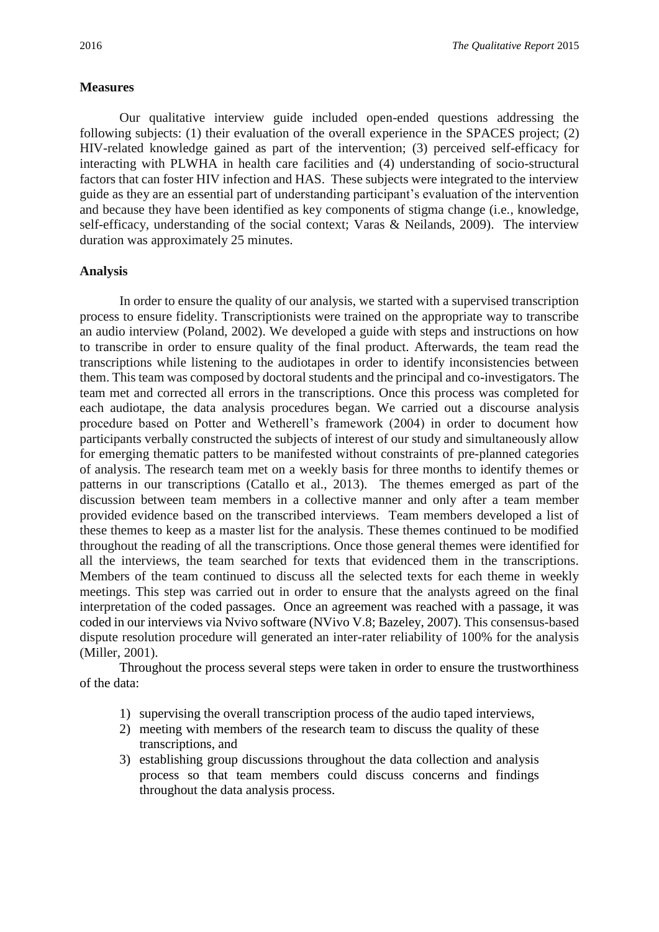# **Measures**

Our qualitative interview guide included open-ended questions addressing the following subjects: (1) their evaluation of the overall experience in the SPACES project; (2) HIV-related knowledge gained as part of the intervention; (3) perceived self-efficacy for interacting with PLWHA in health care facilities and (4) understanding of socio-structural factors that can foster HIV infection and HAS. These subjects were integrated to the interview guide as they are an essential part of understanding participant's evaluation of the intervention and because they have been identified as key components of stigma change (i.e., knowledge, self-efficacy, understanding of the social context; Varas & Neilands, 2009). The interview duration was approximately 25 minutes.

# **Analysis**

In order to ensure the quality of our analysis, we started with a supervised transcription process to ensure fidelity. Transcriptionists were trained on the appropriate way to transcribe an audio interview (Poland, 2002). We developed a guide with steps and instructions on how to transcribe in order to ensure quality of the final product. Afterwards, the team read the transcriptions while listening to the audiotapes in order to identify inconsistencies between them. This team was composed by doctoral students and the principal and co-investigators. The team met and corrected all errors in the transcriptions. Once this process was completed for each audiotape, the data analysis procedures began. We carried out a discourse analysis procedure based on Potter and Wetherell's framework (2004) in order to document how participants verbally constructed the subjects of interest of our study and simultaneously allow for emerging thematic patters to be manifested without constraints of pre-planned categories of analysis. The research team met on a weekly basis for three months to identify themes or patterns in our transcriptions (Catallo et al., 2013). The themes emerged as part of the discussion between team members in a collective manner and only after a team member provided evidence based on the transcribed interviews. Team members developed a list of these themes to keep as a master list for the analysis. These themes continued to be modified throughout the reading of all the transcriptions. Once those general themes were identified for all the interviews, the team searched for texts that evidenced them in the transcriptions. Members of the team continued to discuss all the selected texts for each theme in weekly meetings. This step was carried out in order to ensure that the analysts agreed on the final interpretation of the coded passages. Once an agreement was reached with a passage, it was coded in our interviews via Nvivo software (NVivo V.8; Bazeley, 2007). This consensus-based dispute resolution procedure will generated an inter-rater reliability of 100% for the analysis (Miller, 2001).

Throughout the process several steps were taken in order to ensure the trustworthiness of the data:

- 1) supervising the overall transcription process of the audio taped interviews,
- 2) meeting with members of the research team to discuss the quality of these transcriptions, and
- 3) establishing group discussions throughout the data collection and analysis process so that team members could discuss concerns and findings throughout the data analysis process.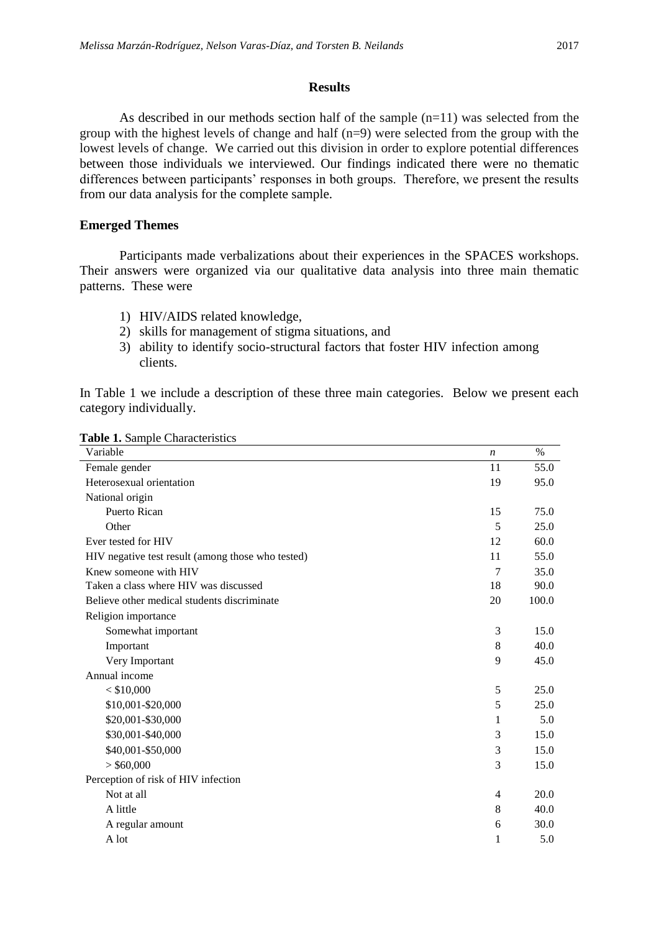#### **Results**

As described in our methods section half of the sample  $(n=11)$  was selected from the group with the highest levels of change and half (n=9) were selected from the group with the lowest levels of change. We carried out this division in order to explore potential differences between those individuals we interviewed. Our findings indicated there were no thematic differences between participants' responses in both groups. Therefore, we present the results from our data analysis for the complete sample.

# **Emerged Themes**

Participants made verbalizations about their experiences in the SPACES workshops. Their answers were organized via our qualitative data analysis into three main thematic patterns. These were

- 1) HIV/AIDS related knowledge,
- 2) skills for management of stigma situations, and
- 3) ability to identify socio-structural factors that foster HIV infection among clients.

In Table 1 we include a description of these three main categories. Below we present each category individually.

| Variable                                          | $\boldsymbol{n}$ | $\%$  |
|---------------------------------------------------|------------------|-------|
| Female gender                                     | 11               | 55.0  |
| Heterosexual orientation                          | 19               | 95.0  |
| National origin                                   |                  |       |
| Puerto Rican                                      | 15               | 75.0  |
| Other                                             | 5                | 25.0  |
| Ever tested for HIV                               | 12               | 60.0  |
| HIV negative test result (among those who tested) | 11               | 55.0  |
| Knew someone with HIV                             | 7                | 35.0  |
| Taken a class where HIV was discussed             | 18               | 90.0  |
| Believe other medical students discriminate       | 20               | 100.0 |
| Religion importance                               |                  |       |
| Somewhat important                                | 3                | 15.0  |
| Important                                         | 8                | 40.0  |
| Very Important                                    | 9                | 45.0  |
| Annual income                                     |                  |       |
| $<$ \$10,000                                      | 5                | 25.0  |
| \$10,001-\$20,000                                 | 5                | 25.0  |
| \$20,001-\$30,000                                 | 1                | 5.0   |
| \$30,001-\$40,000                                 | 3                | 15.0  |
| \$40,001-\$50,000                                 | 3                | 15.0  |
| $>$ \$60,000                                      | 3                | 15.0  |
| Perception of risk of HIV infection               |                  |       |
| Not at all                                        | 4                | 20.0  |
| A little                                          | 8                | 40.0  |
| A regular amount                                  | 6                | 30.0  |
| A lot                                             | $\mathbf{1}$     | 5.0   |

**Table 1.** Sample Characteristics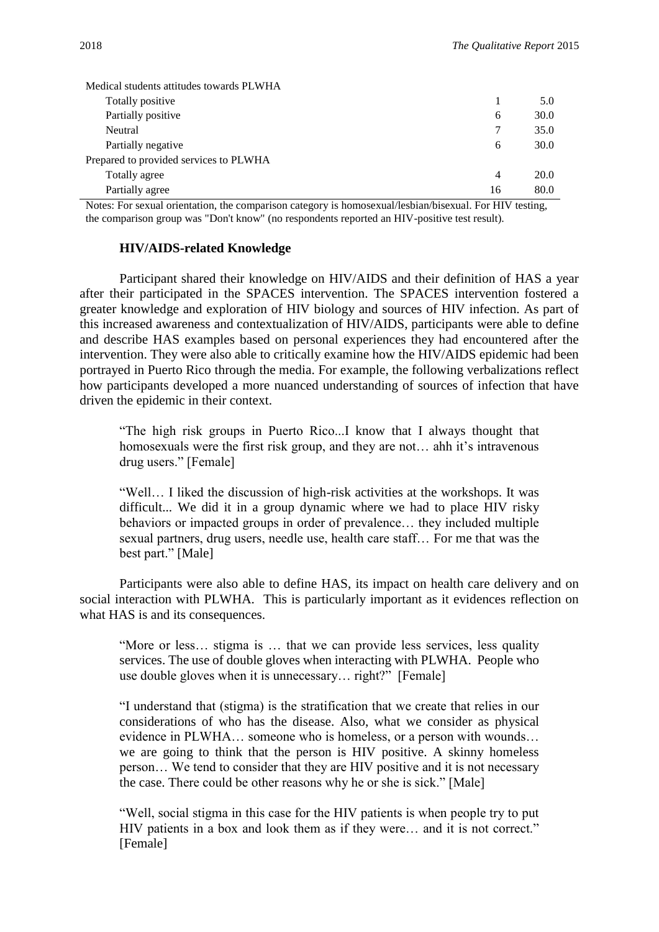| Medical students attitudes towards PLWHA |    |      |
|------------------------------------------|----|------|
| Totally positive                         |    | 5.0  |
| Partially positive                       | 6  | 30.0 |
| Neutral                                  |    | 35.0 |
| Partially negative                       | 6  | 30.0 |
| Prepared to provided services to PLWHA   |    |      |
| Totally agree                            | 4  | 20.0 |
| Partially agree                          | 16 | 80.0 |

Notes: For sexual orientation, the comparison category is homosexual/lesbian/bisexual. For HIV testing, the comparison group was "Don't know" (no respondents reported an HIV-positive test result).

## **HIV/AIDS-related Knowledge**

Participant shared their knowledge on HIV/AIDS and their definition of HAS a year after their participated in the SPACES intervention. The SPACES intervention fostered a greater knowledge and exploration of HIV biology and sources of HIV infection. As part of this increased awareness and contextualization of HIV/AIDS, participants were able to define and describe HAS examples based on personal experiences they had encountered after the intervention. They were also able to critically examine how the HIV/AIDS epidemic had been portrayed in Puerto Rico through the media. For example, the following verbalizations reflect how participants developed a more nuanced understanding of sources of infection that have driven the epidemic in their context.

"The high risk groups in Puerto Rico...I know that I always thought that homosexuals were the first risk group, and they are not… ahh it's intravenous drug users." [Female]

"Well… I liked the discussion of high-risk activities at the workshops. It was difficult... We did it in a group dynamic where we had to place HIV risky behaviors or impacted groups in order of prevalence… they included multiple sexual partners, drug users, needle use, health care staff… For me that was the best part." [Male]

Participants were also able to define HAS, its impact on health care delivery and on social interaction with PLWHA. This is particularly important as it evidences reflection on what HAS is and its consequences.

"More or less… stigma is … that we can provide less services, less quality services. The use of double gloves when interacting with PLWHA. People who use double gloves when it is unnecessary… right?" [Female]

"I understand that (stigma) is the stratification that we create that relies in our considerations of who has the disease. Also, what we consider as physical evidence in PLWHA… someone who is homeless, or a person with wounds… we are going to think that the person is HIV positive. A skinny homeless person… We tend to consider that they are HIV positive and it is not necessary the case. There could be other reasons why he or she is sick." [Male]

"Well, social stigma in this case for the HIV patients is when people try to put HIV patients in a box and look them as if they were… and it is not correct." [Female]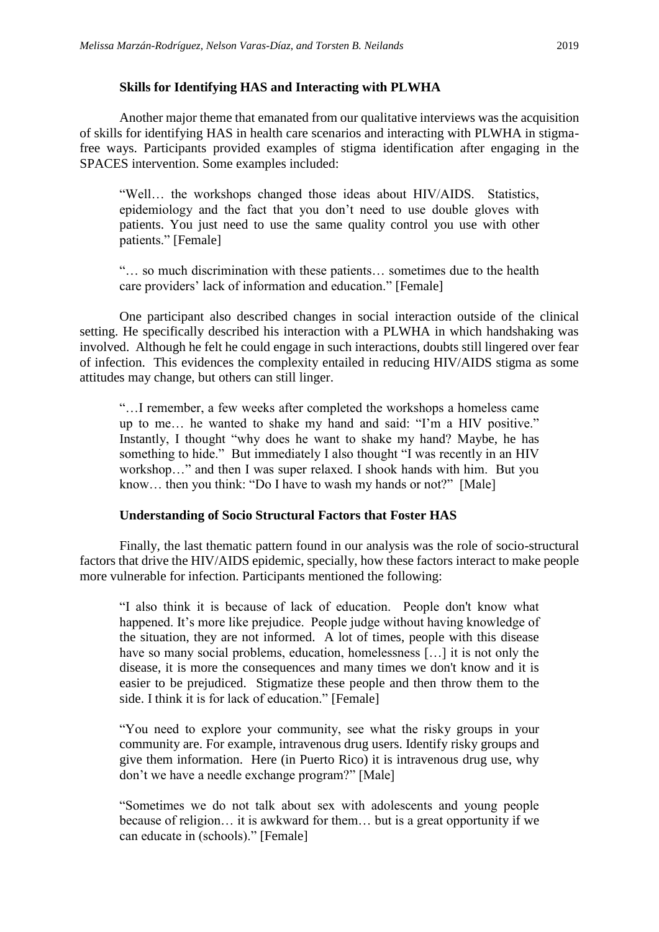# **Skills for Identifying HAS and Interacting with PLWHA**

Another major theme that emanated from our qualitative interviews was the acquisition of skills for identifying HAS in health care scenarios and interacting with PLWHA in stigmafree ways. Participants provided examples of stigma identification after engaging in the SPACES intervention. Some examples included:

"Well… the workshops changed those ideas about HIV/AIDS. Statistics, epidemiology and the fact that you don't need to use double gloves with patients. You just need to use the same quality control you use with other patients." [Female]

"… so much discrimination with these patients… sometimes due to the health care providers' lack of information and education." [Female]

One participant also described changes in social interaction outside of the clinical setting. He specifically described his interaction with a PLWHA in which handshaking was involved. Although he felt he could engage in such interactions, doubts still lingered over fear of infection. This evidences the complexity entailed in reducing HIV/AIDS stigma as some attitudes may change, but others can still linger.

"…I remember, a few weeks after completed the workshops a homeless came up to me… he wanted to shake my hand and said: "I'm a HIV positive." Instantly, I thought "why does he want to shake my hand? Maybe, he has something to hide." But immediately I also thought "I was recently in an HIV workshop…" and then I was super relaxed. I shook hands with him. But you know… then you think: "Do I have to wash my hands or not?" [Male]

# **Understanding of Socio Structural Factors that Foster HAS**

Finally, the last thematic pattern found in our analysis was the role of socio-structural factors that drive the HIV/AIDS epidemic, specially, how these factors interact to make people more vulnerable for infection. Participants mentioned the following:

"I also think it is because of lack of education. People don't know what happened. It's more like prejudice. People judge without having knowledge of the situation, they are not informed. A lot of times, people with this disease have so many social problems, education, homelessness [...] it is not only the disease, it is more the consequences and many times we don't know and it is easier to be prejudiced. Stigmatize these people and then throw them to the side. I think it is for lack of education." [Female]

"You need to explore your community, see what the risky groups in your community are. For example, intravenous drug users. Identify risky groups and give them information. Here (in Puerto Rico) it is intravenous drug use, why don't we have a needle exchange program?" [Male]

"Sometimes we do not talk about sex with adolescents and young people because of religion… it is awkward for them… but is a great opportunity if we can educate in (schools)." [Female]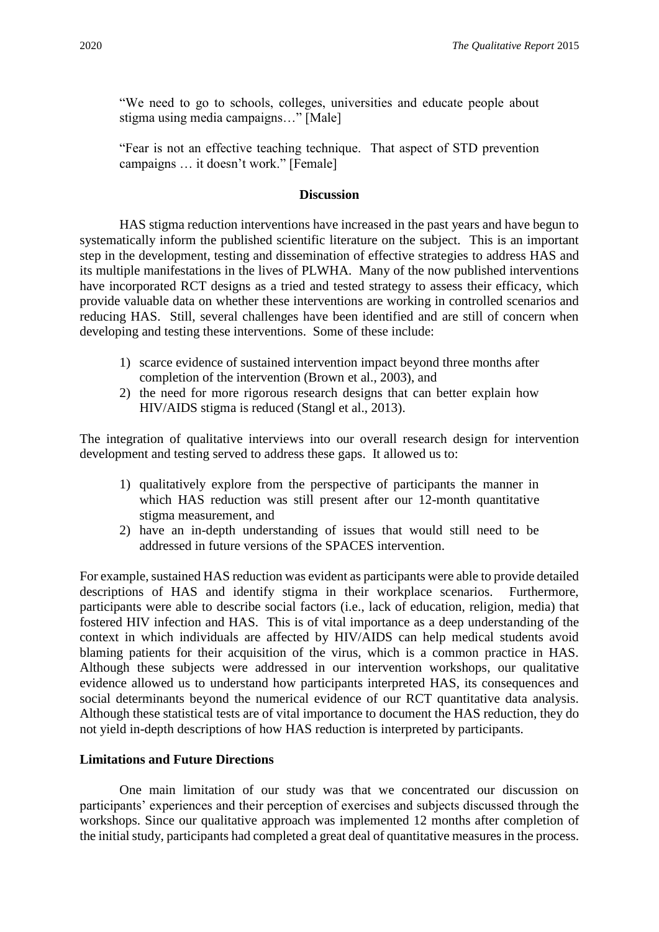"We need to go to schools, colleges, universities and educate people about stigma using media campaigns…" [Male]

"Fear is not an effective teaching technique. That aspect of STD prevention campaigns … it doesn't work." [Female]

#### **Discussion**

HAS stigma reduction interventions have increased in the past years and have begun to systematically inform the published scientific literature on the subject. This is an important step in the development, testing and dissemination of effective strategies to address HAS and its multiple manifestations in the lives of PLWHA. Many of the now published interventions have incorporated RCT designs as a tried and tested strategy to assess their efficacy, which provide valuable data on whether these interventions are working in controlled scenarios and reducing HAS. Still, several challenges have been identified and are still of concern when developing and testing these interventions. Some of these include:

- 1) scarce evidence of sustained intervention impact beyond three months after completion of the intervention (Brown et al., 2003), and
- 2) the need for more rigorous research designs that can better explain how HIV/AIDS stigma is reduced (Stangl et al., 2013).

The integration of qualitative interviews into our overall research design for intervention development and testing served to address these gaps. It allowed us to:

- 1) qualitatively explore from the perspective of participants the manner in which HAS reduction was still present after our 12-month quantitative stigma measurement, and
- 2) have an in-depth understanding of issues that would still need to be addressed in future versions of the SPACES intervention.

For example, sustained HAS reduction was evident as participants were able to provide detailed descriptions of HAS and identify stigma in their workplace scenarios. Furthermore, participants were able to describe social factors (i.e., lack of education, religion, media) that fostered HIV infection and HAS. This is of vital importance as a deep understanding of the context in which individuals are affected by HIV/AIDS can help medical students avoid blaming patients for their acquisition of the virus, which is a common practice in HAS. Although these subjects were addressed in our intervention workshops, our qualitative evidence allowed us to understand how participants interpreted HAS, its consequences and social determinants beyond the numerical evidence of our RCT quantitative data analysis. Although these statistical tests are of vital importance to document the HAS reduction, they do not yield in-depth descriptions of how HAS reduction is interpreted by participants.

# **Limitations and Future Directions**

One main limitation of our study was that we concentrated our discussion on participants' experiences and their perception of exercises and subjects discussed through the workshops. Since our qualitative approach was implemented 12 months after completion of the initial study, participants had completed a great deal of quantitative measures in the process.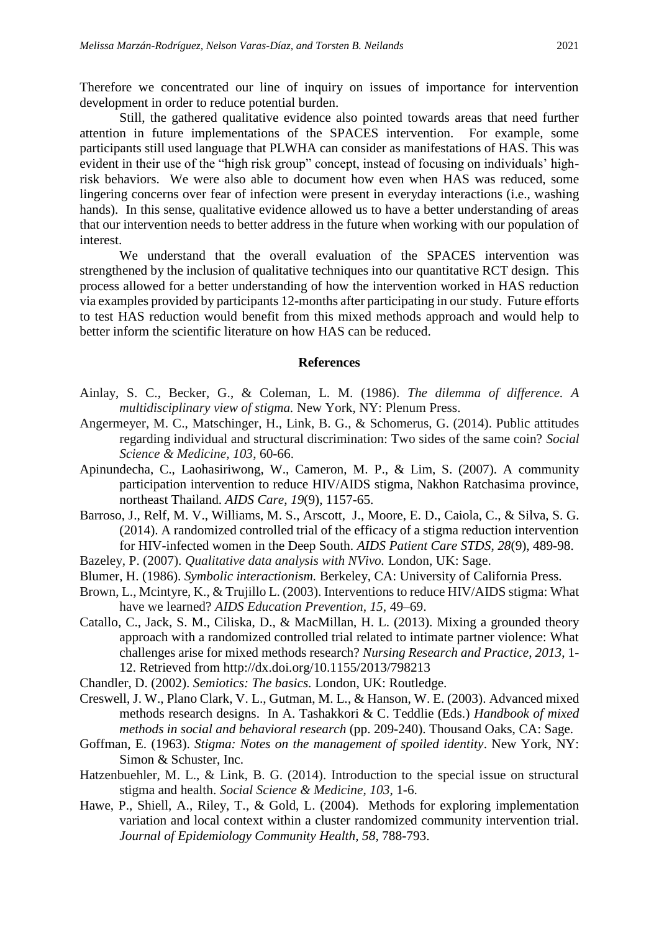Therefore we concentrated our line of inquiry on issues of importance for intervention development in order to reduce potential burden.

Still, the gathered qualitative evidence also pointed towards areas that need further attention in future implementations of the SPACES intervention. For example, some participants still used language that PLWHA can consider as manifestations of HAS. This was evident in their use of the "high risk group" concept, instead of focusing on individuals' highrisk behaviors. We were also able to document how even when HAS was reduced, some lingering concerns over fear of infection were present in everyday interactions (i.e., washing hands). In this sense, qualitative evidence allowed us to have a better understanding of areas that our intervention needs to better address in the future when working with our population of interest.

We understand that the overall evaluation of the SPACES intervention was strengthened by the inclusion of qualitative techniques into our quantitative RCT design. This process allowed for a better understanding of how the intervention worked in HAS reduction via examples provided by participants 12-months after participating in our study. Future efforts to test HAS reduction would benefit from this mixed methods approach and would help to better inform the scientific literature on how HAS can be reduced.

# **References**

- Ainlay, S. C., Becker, G., & Coleman, L. M. (1986). *The dilemma of difference. A multidisciplinary view of stigma.* New York, NY: Plenum Press.
- Angermeyer, M. C., Matschinger, H., Link, B. G., & Schomerus, G. (2014). Public attitudes regarding individual and structural discrimination: Two sides of the same coin? *Social Science & Medicine, 103*, 60-66.
- Apinundecha, C., Laohasiriwong, W., Cameron, M. P., & Lim, S. (2007). A community participation intervention to reduce HIV/AIDS stigma, Nakhon Ratchasima province, northeast Thailand. *AIDS Care*, *19*(9), 1157-65.
- [Barroso, J.](http://www.ncbi.nlm.nih.gov/pubmed/?term=Barroso%20J%5BAuthor%5D&cauthor=true&cauthor_uid=25084499), [Relf, M.](http://www.ncbi.nlm.nih.gov/pubmed/?term=Relf%20MV%5BAuthor%5D&cauthor=true&cauthor_uid=25084499) V., [Williams, M.](http://www.ncbi.nlm.nih.gov/pubmed/?term=Williams%20MS%5BAuthor%5D&cauthor=true&cauthor_uid=25084499) S., [Arscott, J.](http://www.ncbi.nlm.nih.gov/pubmed/?term=Arscott%20J%5BAuthor%5D&cauthor=true&cauthor_uid=25084499), [Moore, E.](http://www.ncbi.nlm.nih.gov/pubmed/?term=Moore%20ED%5BAuthor%5D&cauthor=true&cauthor_uid=25084499) D., [Caiola, C.](http://www.ncbi.nlm.nih.gov/pubmed/?term=Caiola%20C%5BAuthor%5D&cauthor=true&cauthor_uid=25084499), & [Silva, S.](http://www.ncbi.nlm.nih.gov/pubmed/?term=Silva%20SG%5BAuthor%5D&cauthor=true&cauthor_uid=25084499) G. (2014). A randomized controlled trial of the efficacy of a stigma reduction intervention for HIV-infected women in the Deep South. *AIDS Patient Care STDS*, *28*(9), 489-98.
- Bazeley, P. (2007). *Qualitative data analysis with NVivo.* London, UK: Sage.
- Blumer, H. (1986). *Symbolic interactionism.* Berkeley, CA: University of California Press.
- Brown, L., Mcintyre, K., & Trujillo L. (2003). Interventions to reduce HIV/AIDS stigma: What have we learned? *AIDS Education Prevention*, *15*, 49–69.
- Catallo, C., Jack, S. M., Ciliska, D., & MacMillan, H. L. (2013). Mixing a grounded theory approach with a randomized controlled trial related to intimate partner violence: What challenges arise for mixed methods research? *Nursing Research and Practice*, *2013*, 1- 12. Retrieved from<http://dx.doi.org/10.1155/2013/798213>
- Chandler, D. (2002). *Semiotics: The basics.* London, UK: Routledge.
- Creswell, J. W., Plano Clark, V. L., Gutman, M. L., & Hanson, W. E. (2003). Advanced mixed methods research designs. In A. Tashakkori & C. Teddlie (Eds.) *Handbook of mixed methods in social and behavioral research* (pp. 209-240). Thousand Oaks, CA: Sage.
- Goffman, E. (1963). *Stigma: Notes on the management of spoiled identity*. New York, NY: Simon & Schuster, Inc.
- Hatzenbuehler, M. L., & Link, B. G. (2014). Introduction to the special issue on structural stigma and health. *Social Science & Medicine*, *103*, 1-6.
- Hawe, P., Shiell, A., Riley, T., & Gold, L. (2004). Methods for exploring implementation variation and local context within a cluster randomized community intervention trial. *Journal of Epidemiology Community Health*, *58*, 788-793.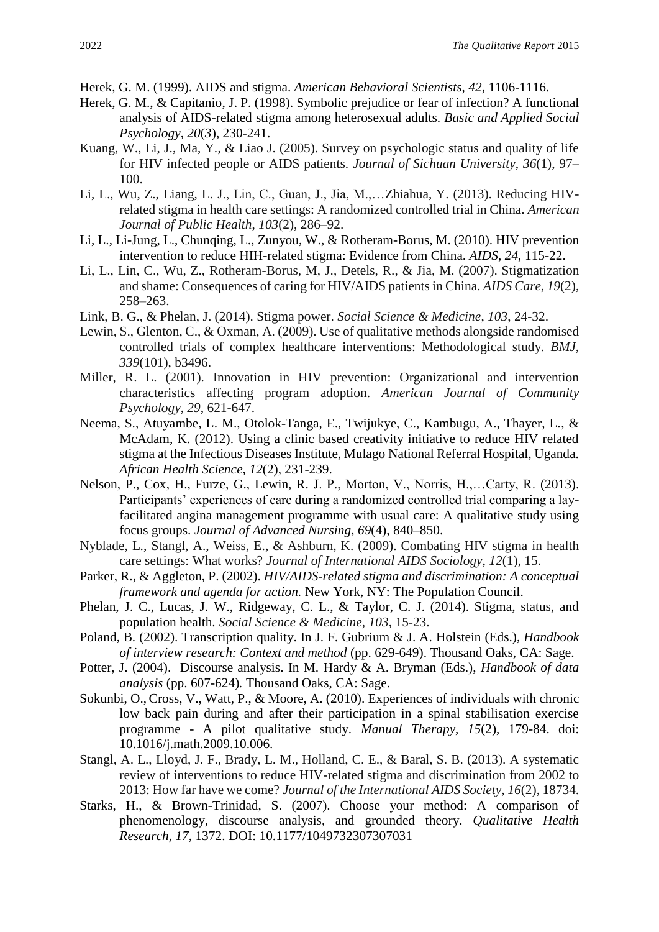- Herek, G. M. (1999). AIDS and stigma. *American Behavioral Scientists*, *42*, 1106-1116.
- Herek, G. M., & Capitanio, J. P. (1998). Symbolic prejudice or fear of infection? A functional analysis of AIDS-related stigma among heterosexual adults. *Basic and Applied Social Psychology*, *20*(*3*), 230-241.
- Kuang, W., Li, J., Ma, Y., & Liao J. (2005). Survey on psychologic status and quality of life for HIV infected people or AIDS patients. *Journal of Sichuan University*, *36*(1), 97– 100.
- Li, L., Wu, Z., Liang, L. J., Lin, C., Guan, J., Jia, M.,…Zhiahua, Y. (2013). Reducing HIVrelated stigma in health care settings: A randomized controlled trial in China. *American Journal of Public Health*, *103*(2), 286–92.
- Li, L., Li-Jung, L., Chunqing, L., Zunyou, W., & Rotheram-Borus, M. (2010). HIV prevention intervention to reduce HIH-related stigma: Evidence from China. *AIDS*, *24*, 115-22.
- Li, L., Lin, C., Wu, Z., Rotheram-Borus, M, J., Detels, R., & Jia, M. (2007). Stigmatization and shame: Consequences of caring for HIV/AIDS patients in China. *AIDS Care*, *19*(2), 258–263.
- Link, B. G., & Phelan, J. (2014). Stigma power. *Social Science & Medicine*, *103*, 24-32.
- Lewin, S., Glenton, C., & Oxman, A. (2009). Use of qualitative methods alongside randomised controlled trials of complex healthcare interventions: Methodological study. *BMJ*, *339*(101), b3496.
- Miller, R. L. (2001). Innovation in HIV prevention: Organizational and intervention characteristics affecting program adoption. *American Journal of Community Psychology*, *29*, 621-647.
- Neema, S., Atuyambe, L. M., Otolok-Tanga, E., Twijukye, C., Kambugu, A., Thayer, L., & McAdam, K. (2012). Using a clinic based creativity initiative to reduce HIV related stigma at the Infectious Diseases Institute, Mulago National Referral Hospital, Uganda. *African Health Science*, *12*(2), 231-239.
- Nelson, P., Cox, H., Furze, G., Lewin, R. J. P., Morton, V., Norris, H.,…Carty, R. (2013). Participants' experiences of care during a randomized controlled trial comparing a layfacilitated angina management programme with usual care: A qualitative study using focus groups. *Journal of Advanced Nursing*, *69*(4), 840–850.
- Nyblade, L., Stangl, A., Weiss, E., & Ashburn, K. (2009). Combating HIV stigma in health care settings: What works? *Journal of International AIDS Sociology*, *12*(1), 15.
- Parker, R., & Aggleton, P. (2002). *HIV/AIDS-related stigma and discrimination: A conceptual framework and agenda for action.* New York, NY: The Population Council.
- Phelan, J. C., Lucas, J. W., Ridgeway, C. L., & Taylor, C. J. (2014). Stigma, status, and population health. *Social Science & Medicine*, *103*, 15-23.
- Poland, B. (2002). Transcription quality. In J. F. Gubrium & J. A. Holstein (Eds.), *Handbook of interview research: Context and method* (pp. 629-649). Thousand Oaks, CA: Sage.
- Potter, J. (2004). Discourse analysis. In M. Hardy & A. Bryman (Eds.), *Handbook of data analysis* (pp. 607-624)*.* Thousand Oaks, CA: Sage.
- [Sokunbi, O.](http://www.ncbi.nlm.nih.gov/pubmed?term=Sokunbi%20O%5BAuthor%5D&cauthor=true&cauthor_uid=19939723)[,Cross, V.](http://www.ncbi.nlm.nih.gov/pubmed?term=Cross%20V%5BAuthor%5D&cauthor=true&cauthor_uid=19939723), [Watt, P.](http://www.ncbi.nlm.nih.gov/pubmed?term=Watt%20P%5BAuthor%5D&cauthor=true&cauthor_uid=19939723), & [Moore, A.](http://www.ncbi.nlm.nih.gov/pubmed?term=Moore%20A%5BAuthor%5D&cauthor=true&cauthor_uid=19939723) (2010). Experiences of individuals with chronic low back pain during and after their participation in a spinal stabilisation exercise programme - A pilot qualitative study. *Manual Therapy*, *15*(2), 179-84. doi: 10.1016/j.math.2009.10.006.
- Stangl, A. L., Lloyd, J. F., Brady, L. M., Holland, C. E., & Baral, S. B. (2013). A systematic review of interventions to reduce HIV-related stigma and discrimination from 2002 to 2013: How far have we come? *Journal of the International AIDS Society, 16*(2), 18734.
- Starks, H., & Brown-Trinidad, S. (2007). Choose your method: A comparison of phenomenology, discourse analysis, and grounded theory. *Qualitative Health Research*, *17*, 1372. DOI: 10.1177/1049732307307031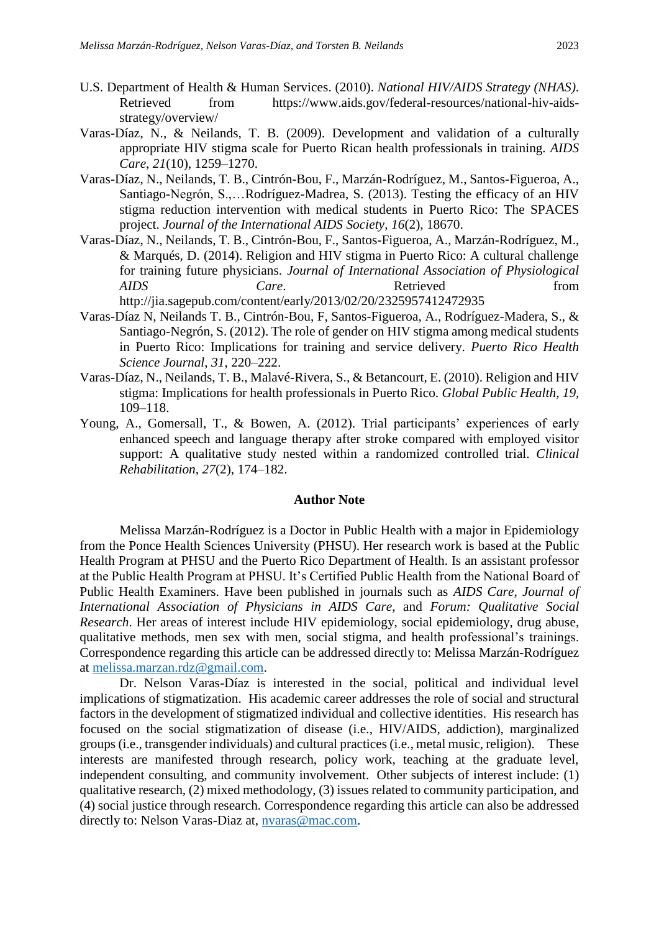- U.S. Department of Health & Human Services. (2010). *National HIV/AIDS Strategy (NHAS)*. Retrieved from [https://www.aids.gov/federal-resources/national-hiv-aids](https://www.aids.gov/federal-resources/national-hiv-aids-strategy/overview/)[strategy/overview/](https://www.aids.gov/federal-resources/national-hiv-aids-strategy/overview/)
- Varas-Díaz, N., & Neilands, T. B. (2009). Development and validation of a culturally appropriate HIV stigma scale for Puerto Rican health professionals in training. *AIDS Care*, *21*(10), 1259–1270.
- Varas-Díaz, N., Neilands, T. B., Cintrón-Bou, F., Marzán-Rodríguez, M., Santos-Figueroa, A., Santiago-Negrón, S.,…Rodríguez-Madrea, S. (2013). Testing the efficacy of an HIV stigma reduction intervention with medical students in Puerto Rico: The SPACES project. *Journal of the International AIDS Society*, *16*(2), 18670.
- Varas-Díaz, N., Neilands, T. B., Cintrón-Bou, F., Santos-Figueroa, A., Marzán-Rodríguez, M., & Marqués, D. (2014). Religion and HIV stigma in Puerto Rico: A cultural challenge for training future physicians. *Journal of International Association of Physiological AIDS Care*. Retrieved from <http://jia.sagepub.com/content/early/2013/02/20/2325957412472935>
- Varas-Díaz N, Neilands T. B., Cintrón-Bou, F, Santos-Figueroa, A., Rodríguez-Madera, S., & Santiago-Negrón, S. (2012). The role of gender on HIV stigma among medical students in Puerto Rico: Implications for training and service delivery. *Puerto Rico Health Science Journal*, *31*, 220–222.
- Varas-Díaz, N., Neilands, T. B., Malavé-Rivera, S., & Betancourt, E. (2010). Religion and HIV stigma: Implications for health professionals in Puerto Rico. *Global Public Health*, *19,* 109–118.
- Young, A., Gomersall, T., & Bowen, A. (2012). Trial participants' experiences of early enhanced speech and language therapy after stroke compared with employed visitor support: A qualitative study nested within a randomized controlled trial. *Clinical Rehabilitation*, *27*(2), 174–182.

#### **Author Note**

Melissa Marzán-Rodríguez is a Doctor in Public Health with a major in Epidemiology from the Ponce Health Sciences University (PHSU). Her research work is based at the Public Health Program at PHSU and the Puerto Rico Department of Health. Is an assistant professor at the Public Health Program at PHSU. It's Certified Public Health from the National Board of Public Health Examiners. Have been published in journals such as *AIDS Care*, *Journal of International Association of Physicians in AIDS Care*, and *Forum: Qualitative Social Research*. Her areas of interest include HIV epidemiology, social epidemiology, drug abuse, qualitative methods, men sex with men, social stigma, and health professional's trainings. Correspondence regarding this article can be addressed directly to: Melissa Marzán-Rodríguez at [melissa.marzan.rdz@gmail.com.](mailto:melissa.marzan.rdz@gmail.com)

Dr. Nelson Varas-Díaz is interested in the social, political and individual level implications of stigmatization. His academic career addresses the role of social and structural factors in the development of stigmatized individual and collective identities. His research has focused on the social stigmatization of disease (i.e., HIV/AIDS, addiction), marginalized groups (i.e., transgender individuals) and cultural practices (i.e., metal music, religion). These interests are manifested through research, policy work, teaching at the graduate level, independent consulting, and community involvement. Other subjects of interest include: (1) qualitative research, (2) mixed methodology, (3) issues related to community participation, and (4) social justice through research. Correspondence regarding this article can also be addressed directly to: Nelson Varas-Diaz at, [nvaras@mac.com.](mailto:nvaras@mac.com)